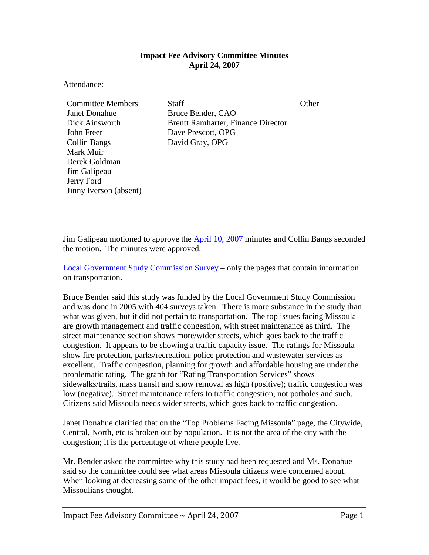## **Impact Fee Advisory Committee Minutes April 24, 2007**

Attendance:

Janet Donahue Bruce Bender, CAO John Freer Dave Prescott, OPG Collin Bangs David Gray, OPG Mark Muir Derek Goldman Jim Galipeau Jerry Ford Jinny Iverson (absent)

**Committee Members Staff Staff Committee Members** Staff State Committee Members Staff State Committee Other Committee Other Committee Other Committee Other Committee Other Committee Other Committee Other Committee Other Co Dick Ainsworth Brentt Ramharter, Finance Director

Jim Galipeau motioned to approve the  $\Delta \text{pril}$  10, 2007 minutes and Collin Bangs seconded the motion. The minutes were approved.

[Local Government Study Commission Survey](ftp://www.ci.missoula.mt.us/Documents/Mayor/IFAC/2007/070424LGSCSurvey.pdf) – only the pages that contain information on transportation.

Bruce Bender said this study was funded by the Local Government Study Commission and was done in 2005 with 404 surveys taken. There is more substance in the study than what was given, but it did not pertain to transportation. The top issues facing Missoula are growth management and traffic congestion, with street maintenance as third. The street maintenance section shows more/wider streets, which goes back to the traffic congestion. It appears to be showing a traffic capacity issue. The ratings for Missoula show fire protection, parks/recreation, police protection and wastewater services as excellent. Traffic congestion, planning for growth and affordable housing are under the problematic rating. The graph for "Rating Transportation Services" shows sidewalks/trails, mass transit and snow removal as high (positive); traffic congestion was low (negative). Street maintenance refers to traffic congestion, not potholes and such. Citizens said Missoula needs wider streets, which goes back to traffic congestion.

Janet Donahue clarified that on the "Top Problems Facing Missoula" page, the Citywide, Central, North, etc is broken out by population. It is not the area of the city with the congestion; it is the percentage of where people live.

Mr. Bender asked the committee why this study had been requested and Ms. Donahue said so the committee could see what areas Missoula citizens were concerned about. When looking at decreasing some of the other impact fees, it would be good to see what Missoulians thought.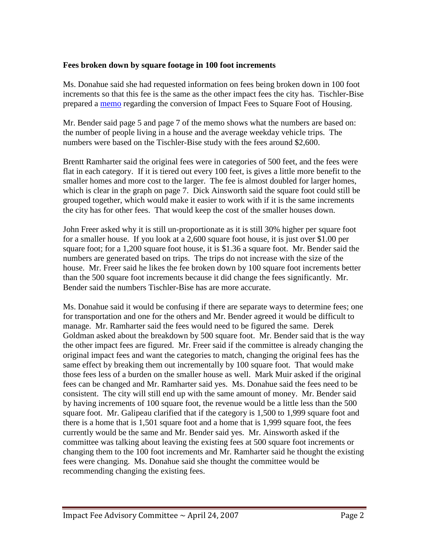## **Fees broken down by square footage in 100 foot increments**

Ms. Donahue said she had requested information on fees being broken down in 100 foot increments so that this fee is the same as the other impact fees the city has. Tischler-Bise prepared a [memo](ftp://www.ci.missoula.mt.us/Documents/Mayor/IFAC/2007/070424MissoulaFeesByResSqFt.pdf) regarding the conversion of Impact Fees to Square Foot of Housing.

Mr. Bender said page 5 and page 7 of the memo shows what the numbers are based on: the number of people living in a house and the average weekday vehicle trips. The numbers were based on the Tischler-Bise study with the fees around \$2,600.

Brentt Ramharter said the original fees were in categories of 500 feet, and the fees were flat in each category. If it is tiered out every 100 feet, is gives a little more benefit to the smaller homes and more cost to the larger. The fee is almost doubled for larger homes, which is clear in the graph on page 7. Dick Ainsworth said the square foot could still be grouped together, which would make it easier to work with if it is the same increments the city has for other fees. That would keep the cost of the smaller houses down.

John Freer asked why it is still un-proportionate as it is still 30% higher per square foot for a smaller house. If you look at a 2,600 square foot house, it is just over \$1.00 per square foot; for a 1,200 square foot house, it is \$1.36 a square foot. Mr. Bender said the numbers are generated based on trips. The trips do not increase with the size of the house. Mr. Freer said he likes the fee broken down by 100 square foot increments better than the 500 square foot increments because it did change the fees significantly. Mr. Bender said the numbers Tischler-Bise has are more accurate.

Ms. Donahue said it would be confusing if there are separate ways to determine fees; one for transportation and one for the others and Mr. Bender agreed it would be difficult to manage. Mr. Ramharter said the fees would need to be figured the same. Derek Goldman asked about the breakdown by 500 square foot. Mr. Bender said that is the way the other impact fees are figured. Mr. Freer said if the committee is already changing the original impact fees and want the categories to match, changing the original fees has the same effect by breaking them out incrementally by 100 square foot. That would make those fees less of a burden on the smaller house as well. Mark Muir asked if the original fees can be changed and Mr. Ramharter said yes. Ms. Donahue said the fees need to be consistent. The city will still end up with the same amount of money. Mr. Bender said by having increments of 100 square foot, the revenue would be a little less than the 500 square foot. Mr. Galipeau clarified that if the category is 1,500 to 1,999 square foot and there is a home that is 1,501 square foot and a home that is 1,999 square foot, the fees currently would be the same and Mr. Bender said yes. Mr. Ainsworth asked if the committee was talking about leaving the existing fees at 500 square foot increments or changing them to the 100 foot increments and Mr. Ramharter said he thought the existing fees were changing. Ms. Donahue said she thought the committee would be recommending changing the existing fees.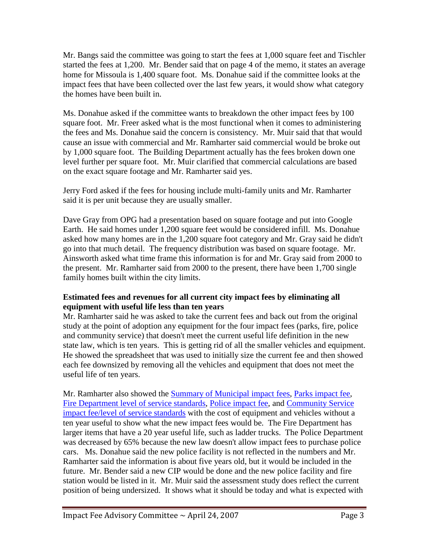Mr. Bangs said the committee was going to start the fees at 1,000 square feet and Tischler started the fees at 1,200. Mr. Bender said that on page 4 of the memo, it states an average home for Missoula is 1,400 square foot. Ms. Donahue said if the committee looks at the impact fees that have been collected over the last few years, it would show what category the homes have been built in.

Ms. Donahue asked if the committee wants to breakdown the other impact fees by 100 square foot. Mr. Freer asked what is the most functional when it comes to administering the fees and Ms. Donahue said the concern is consistency. Mr. Muir said that that would cause an issue with commercial and Mr. Ramharter said commercial would be broke out by 1,000 square foot. The Building Department actually has the fees broken down one level further per square foot. Mr. Muir clarified that commercial calculations are based on the exact square footage and Mr. Ramharter said yes.

Jerry Ford asked if the fees for housing include multi-family units and Mr. Ramharter said it is per unit because they are usually smaller.

Dave Gray from OPG had a presentation based on square footage and put into Google Earth. He said homes under 1,200 square feet would be considered infill. Ms. Donahue asked how many homes are in the 1,200 square foot category and Mr. Gray said he didn't go into that much detail. The frequency distribution was based on square footage. Mr. Ainsworth asked what time frame this information is for and Mr. Gray said from 2000 to the present. Mr. Ramharter said from 2000 to the present, there have been 1,700 single family homes built within the city limits.

## **Estimated fees and revenues for all current city impact fees by eliminating all equipment with useful life less than ten years**

Mr. Ramharter said he was asked to take the current fees and back out from the original study at the point of adoption any equipment for the four impact fees (parks, fire, police and community service) that doesn't meet the current useful life definition in the new state law, which is ten years. This is getting rid of all the smaller vehicles and equipment. He showed the spreadsheet that was used to initially size the current fee and then showed each fee downsized by removing all the vehicles and equipment that does not meet the useful life of ten years.

Mr. Ramharter also showed the [Summary of Municipal impact fees,](ftp://www.ci.missoula.mt.us/Documents/Mayor/IFAC/2007/070424SummaryImpFees.pdf) [Parks impact fee,](ftp://www.ci.missoula.mt.us/Documents/Mayor/IFAC/2007/070424ParkImpFee.pdf) [Fire Department level of service standards,](ftp://www.ci.missoula.mt.us/Documents/Mayor/IFAC/2007/070424FireLOS.pdf) [Police impact fee,](ftp://www.ci.missoula.mt.us/Documents/Mayor/IFAC/2007/070424PoliceImpFee.pdf) and [Community Service](ftp://www.ci.missoula.mt.us/Documents/Mayor/IFAC/2007/070424CommSerImpFee.pdf)  [impact fee/level of service standards](ftp://www.ci.missoula.mt.us/Documents/Mayor/IFAC/2007/070424CommSerImpFee.pdf) with the cost of equipment and vehicles without a ten year useful to show what the new impact fees would be. The Fire Department has larger items that have a 20 year useful life, such as ladder trucks. The Police Department was decreased by 65% because the new law doesn't allow impact fees to purchase police cars. Ms. Donahue said the new police facility is not reflected in the numbers and Mr. Ramharter said the information is about five years old, but it would be included in the future. Mr. Bender said a new CIP would be done and the new police facility and fire station would be listed in it. Mr. Muir said the assessment study does reflect the current position of being undersized. It shows what it should be today and what is expected with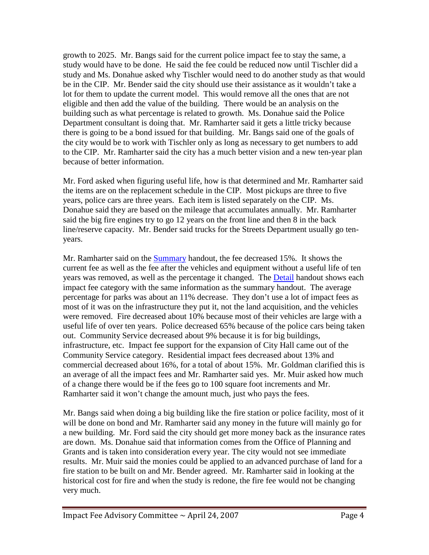growth to 2025. Mr. Bangs said for the current police impact fee to stay the same, a study would have to be done. He said the fee could be reduced now until Tischler did a study and Ms. Donahue asked why Tischler would need to do another study as that would be in the CIP. Mr. Bender said the city should use their assistance as it wouldn't take a lot for them to update the current model. This would remove all the ones that are not eligible and then add the value of the building. There would be an analysis on the building such as what percentage is related to growth. Ms. Donahue said the Police Department consultant is doing that. Mr. Ramharter said it gets a little tricky because there is going to be a bond issued for that building. Mr. Bangs said one of the goals of the city would be to work with Tischler only as long as necessary to get numbers to add to the CIP. Mr. Ramharter said the city has a much better vision and a new ten-year plan because of better information.

Mr. Ford asked when figuring useful life, how is that determined and Mr. Ramharter said the items are on the replacement schedule in the CIP. Most pickups are three to five years, police cars are three years. Each item is listed separately on the CIP. Ms. Donahue said they are based on the mileage that accumulates annually. Mr. Ramharter said the big fire engines try to go 12 years on the front line and then 8 in the back line/reserve capacity. Mr. Bender said trucks for the Streets Department usually go tenyears.

Mr. Ramharter said on the [Summary](ftp://www.ci.missoula.mt.us/Documents/Mayor/IFAC/2007/070424ASummary.pdf) handout, the fee decreased 15%. It shows the current fee as well as the fee after the vehicles and equipment without a useful life of ten years was removed, as well as the percentage it changed. The [Detail](ftp://www.ci.missoula.mt.us/Documents/Mayor/IFAC/2007/070424BDetail.pdf) handout shows each impact fee category with the same information as the summary handout. The average percentage for parks was about an 11% decrease. They don't use a lot of impact fees as most of it was on the infrastructure they put it, not the land acquisition, and the vehicles were removed. Fire decreased about 10% because most of their vehicles are large with a useful life of over ten years. Police decreased 65% because of the police cars being taken out. Community Service decreased about 9% because it is for big buildings, infrastructure, etc. Impact fee support for the expansion of City Hall came out of the Community Service category. Residential impact fees decreased about 13% and commercial decreased about 16%, for a total of about 15%. Mr. Goldman clarified this is an average of all the impact fees and Mr. Ramharter said yes. Mr. Muir asked how much of a change there would be if the fees go to 100 square foot increments and Mr. Ramharter said it won't change the amount much, just who pays the fees.

Mr. Bangs said when doing a big building like the fire station or police facility, most of it will be done on bond and Mr. Ramharter said any money in the future will mainly go for a new building. Mr. Ford said the city should get more money back as the insurance rates are down. Ms. Donahue said that information comes from the Office of Planning and Grants and is taken into consideration every year. The city would not see immediate results. Mr. Muir said the monies could be applied to an advanced purchase of land for a fire station to be built on and Mr. Bender agreed. Mr. Ramharter said in looking at the historical cost for fire and when the study is redone, the fire fee would not be changing very much.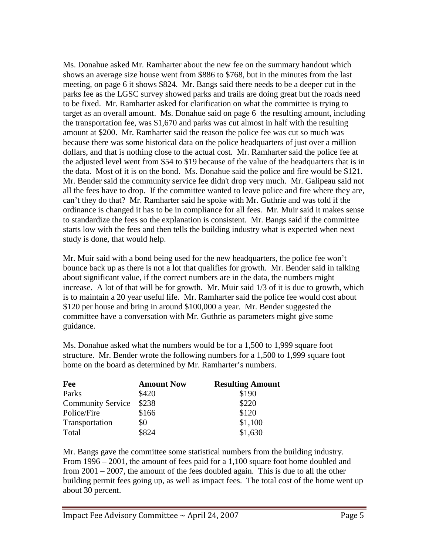Ms. Donahue asked Mr. Ramharter about the new fee on the summary handout which shows an average size house went from \$886 to \$768, but in the minutes from the last meeting, on page 6 it shows \$824. Mr. Bangs said there needs to be a deeper cut in the parks fee as the LGSC survey showed parks and trails are doing great but the roads need to be fixed. Mr. Ramharter asked for clarification on what the committee is trying to target as an overall amount. Ms. Donahue said on page 6 the resulting amount, including the transportation fee, was \$1,670 and parks was cut almost in half with the resulting amount at \$200. Mr. Ramharter said the reason the police fee was cut so much was because there was some historical data on the police headquarters of just over a million dollars, and that is nothing close to the actual cost. Mr. Ramharter said the police fee at the adjusted level went from \$54 to \$19 because of the value of the headquarters that is in the data. Most of it is on the bond. Ms. Donahue said the police and fire would be \$121. Mr. Bender said the community service fee didn't drop very much. Mr. Galipeau said not all the fees have to drop. If the committee wanted to leave police and fire where they are, can't they do that? Mr. Ramharter said he spoke with Mr. Guthrie and was told if the ordinance is changed it has to be in compliance for all fees. Mr. Muir said it makes sense to standardize the fees so the explanation is consistent. Mr. Bangs said if the committee starts low with the fees and then tells the building industry what is expected when next study is done, that would help.

Mr. Muir said with a bond being used for the new headquarters, the police fee won't bounce back up as there is not a lot that qualifies for growth. Mr. Bender said in talking about significant value, if the correct numbers are in the data, the numbers might increase. A lot of that will be for growth. Mr. Muir said 1/3 of it is due to growth, which is to maintain a 20 year useful life. Mr. Ramharter said the police fee would cost about \$120 per house and bring in around \$100,000 a year. Mr. Bender suggested the committee have a conversation with Mr. Guthrie as parameters might give some guidance.

Ms. Donahue asked what the numbers would be for a 1,500 to 1,999 square foot structure. Mr. Bender wrote the following numbers for a 1,500 to 1,999 square foot home on the board as determined by Mr. Ramharter's numbers.

| <b>Fee</b>               | <b>Amount Now</b> | <b>Resulting Amount</b> |
|--------------------------|-------------------|-------------------------|
| Parks                    | \$420             | \$190                   |
| <b>Community Service</b> | \$238             | \$220                   |
| Police/Fire              | \$166             | \$120                   |
| Transportation           | \$0               | \$1,100                 |
| Total                    | \$824             | \$1,630                 |

Mr. Bangs gave the committee some statistical numbers from the building industry. From 1996 – 2001, the amount of fees paid for a 1,100 square foot home doubled and from 2001 – 2007, the amount of the fees doubled again. This is due to all the other building permit fees going up, as well as impact fees. The total cost of the home went up about 30 percent.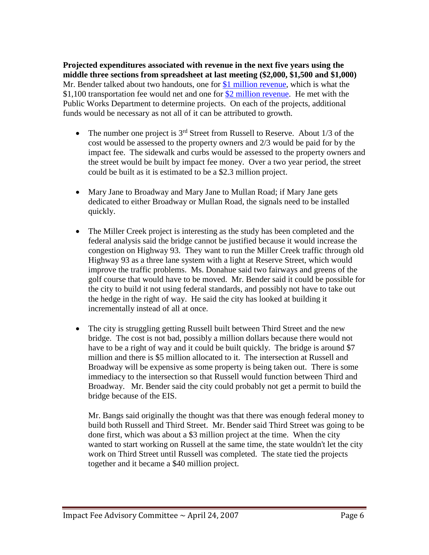**Projected expenditures associated with revenue in the next five years using the middle three sections from spreadsheet at last meeting (\$2,000, \$1,500 and \$1,000)** Mr. Bender talked about two handouts, one for [\\$1 million revenue,](ftp://www.ci.missoula.mt.us/Documents/Mayor/IFAC/2007/070424$1milRev.pdf) which is what the \$1,100 transportation fee would net and one for [\\$2 million revenue.](ftp://www.ci.missoula.mt.us/Documents/Mayor/IFAC/2007/070424$2milRevenue.pdf) He met with the Public Works Department to determine projects. On each of the projects, additional funds would be necessary as not all of it can be attributed to growth.

- The number one project is  $3<sup>rd</sup>$  Street from Russell to Reserve. About 1/3 of the cost would be assessed to the property owners and 2/3 would be paid for by the impact fee. The sidewalk and curbs would be assessed to the property owners and the street would be built by impact fee money. Over a two year period, the street could be built as it is estimated to be a \$2.3 million project.
- Mary Jane to Broadway and Mary Jane to Mullan Road; if Mary Jane gets dedicated to either Broadway or Mullan Road, the signals need to be installed quickly.
- The Miller Creek project is interesting as the study has been completed and the federal analysis said the bridge cannot be justified because it would increase the congestion on Highway 93. They want to run the Miller Creek traffic through old Highway 93 as a three lane system with a light at Reserve Street, which would improve the traffic problems. Ms. Donahue said two fairways and greens of the golf course that would have to be moved. Mr. Bender said it could be possible for the city to build it not using federal standards, and possibly not have to take out the hedge in the right of way. He said the city has looked at building it incrementally instead of all at once.
- The city is struggling getting Russell built between Third Street and the new bridge. The cost is not bad, possibly a million dollars because there would not have to be a right of way and it could be built quickly. The bridge is around \$7 million and there is \$5 million allocated to it. The intersection at Russell and Broadway will be expensive as some property is being taken out. There is some immediacy to the intersection so that Russell would function between Third and Broadway. Mr. Bender said the city could probably not get a permit to build the bridge because of the EIS.

Mr. Bangs said originally the thought was that there was enough federal money to build both Russell and Third Street. Mr. Bender said Third Street was going to be done first, which was about a \$3 million project at the time. When the city wanted to start working on Russell at the same time, the state wouldn't let the city work on Third Street until Russell was completed. The state tied the projects together and it became a \$40 million project.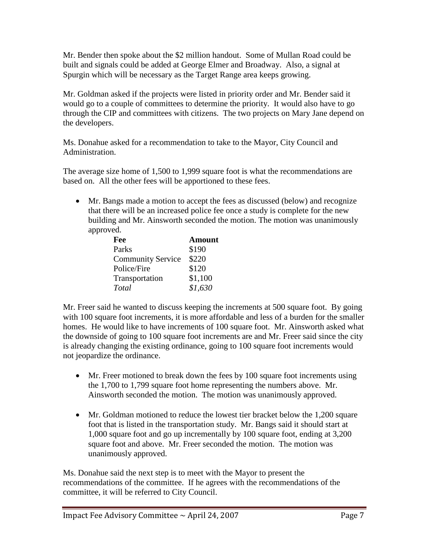Mr. Bender then spoke about the \$2 million handout. Some of Mullan Road could be built and signals could be added at George Elmer and Broadway. Also, a signal at Spurgin which will be necessary as the Target Range area keeps growing.

Mr. Goldman asked if the projects were listed in priority order and Mr. Bender said it would go to a couple of committees to determine the priority. It would also have to go through the CIP and committees with citizens. The two projects on Mary Jane depend on the developers.

Ms. Donahue asked for a recommendation to take to the Mayor, City Council and Administration.

The average size home of 1,500 to 1,999 square foot is what the recommendations are based on. All the other fees will be apportioned to these fees.

• Mr. Bangs made a motion to accept the fees as discussed (below) and recognize that there will be an increased police fee once a study is complete for the new building and Mr. Ainsworth seconded the motion. The motion was unanimously approved.

| Fee                      | <b>Amount</b> |
|--------------------------|---------------|
| Parks                    | \$190         |
| <b>Community Service</b> | \$220         |
| Police/Fire              | \$120         |
| Transportation           | \$1,100       |
| Total                    | \$1,630       |

Mr. Freer said he wanted to discuss keeping the increments at 500 square foot. By going with 100 square foot increments, it is more affordable and less of a burden for the smaller homes. He would like to have increments of 100 square foot. Mr. Ainsworth asked what the downside of going to 100 square foot increments are and Mr. Freer said since the city is already changing the existing ordinance, going to 100 square foot increments would not jeopardize the ordinance.

- Mr. Freer motioned to break down the fees by 100 square foot increments using the 1,700 to 1,799 square foot home representing the numbers above. Mr. Ainsworth seconded the motion. The motion was unanimously approved.
- Mr. Goldman motioned to reduce the lowest tier bracket below the 1,200 square foot that is listed in the transportation study. Mr. Bangs said it should start at 1,000 square foot and go up incrementally by 100 square foot, ending at 3,200 square foot and above. Mr. Freer seconded the motion. The motion was unanimously approved.

Ms. Donahue said the next step is to meet with the Mayor to present the recommendations of the committee. If he agrees with the recommendations of the committee, it will be referred to City Council.